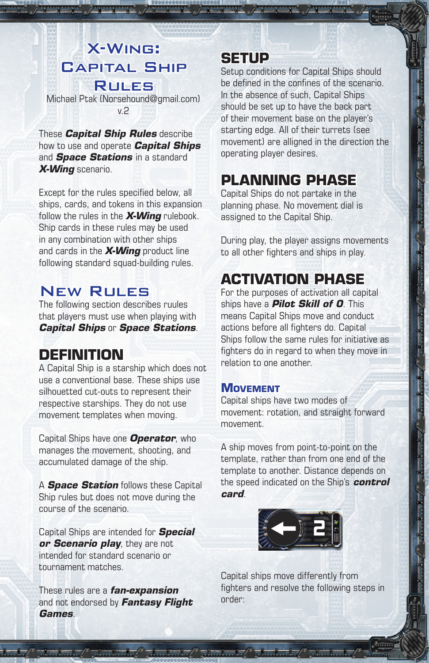# X-Wing: Capital Ship

Rules Michael Ptak (Norsehound@gmail.com) v.2

These *Capital Ship Rules* describe how to use and operate *Capital Ships* and *Space Stations* in a standard *X-Wing* scenario.

Except for the rules specified below, all ships, cards, and tokens in this expansion follow the rules in the *X-Wing* rulebook. Ship cards in these rules may be used in any combination with other ships and cards in the *X-Wing* product line following standard squad-building rules.

### New Rules

The following section describes ruules that players must use when playing with *Capital Ships* or *Space Stations*.

# **DEFINITION**

A Capital Ship is a starship which does not use a conventional base. These ships use silhouetted cut-outs to represent their respective starships. They do not use movement templates when moving.

Capital Ships have one *Operator*, who manages the movement, shooting, and accumulated damage of the ship.

A *Space Station* follows these Capital Ship rules but does not move during the course of the scenario.

Capital Ships are intended for *Special or Scenario play*, they are not intended for standard scenario or tournament matches.

These rules are a *fan-expansion* and not endorsed by *Fantasy Flight Games*.

 $\frac{1}{\sqrt{2}}$ 

## **SETUP**

Setup conditions for Capital Ships should be defined in the confines of the scenario. In the absence of such, Capital Ships should be set up to have the back part of their movement base on the player's starting edge. All of their turrets (see movement) are alligned in the direction the operating player desires.

# **PLANNING PHASE**

Capital Ships do not partake in the planning phase. No movement dial is assigned to the Capital Ship.

During play, the player assigns movements to all other fighters and ships in play.

# **ACTIVATION PHASE**

For the purposes of activation all capital ships have a *Pilot Skill of 0*. This means Capital Ships move and conduct actions before all fighters do. Capital Ships follow the same rules for initiative as fighters do in regard to when they move in relation to one another.

#### **MOVEMENT**

Capital ships have two modes of movement: rotation, and straight forward movement.

A ship moves from point-to-point on the template, rather than from one end of the template to another. Distance depends on the speed indicated on the Ship's *control card*.



Capital ships move differently from fighters and resolve the following steps in order: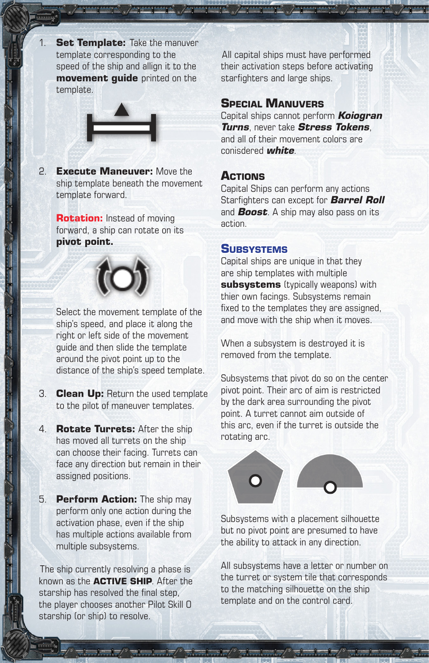1. **Set Template:** Take the manuver template corresponding to the speed of the ship and allign it to the **movement guide** printed on the template.



2. **Execute Maneuver:** Move the ship template beneath the movement template forward.

> **Rotation:** Instead of moving forward, a ship can rotate on its **pivot point.**



Select the movement template of the ship's speed, and place it along the right or left side of the movement guide and then slide the template around the pivot point up to the distance of the ship's speed template.

- 3. **Clean Up:** Return the used template to the pilot of maneuver templates.
- 4. **Rotate Turrets:** After the ship has moved all turrets on the ship can choose their facing. Turrets can face any direction but remain in their assigned positions.
- 5. **Perform Action:** The ship may perform only one action during the activation phase, even if the ship has multiple actions available from multiple subsystems.

The ship currently resolving a phase is known as the **ACTIVE SHIP**. After the starship has resolved the final step, the player chooses another Pilot Skill 0 starship (or ship) to resolve.

All capital ships must have performed their activation steps before activating starfighters and large ships.

#### **SPECIAL MANUVERS**

Capital ships cannot perform *Koiogran Turns*, never take *Stress Tokens*, and all of their movement colors are conisdered *white*.

#### **ACTIONS**

Capital Ships can perform any actions Starfighters can except for *Barrel Roll* and *Boost*. A ship may also pass on its action.

#### **SUBSYSTEMS**

Capital ships are unique in that they are ship templates with multiple **subsystems** (typically weapons) with thier own facings. Subsystems remain fixed to the templates they are assigned, and move with the ship when it moves.

When a subsystem is destroyed it is removed from the template.

Subsystems that pivot do so on the center pivot point. Their arc of aim is restricted by the dark area surrounding the pivot point. A turret cannot aim outside of this arc, even if the turret is outside the rotating arc.



Subsystems with a placement silhouette but no pivot point are presumed to have the ability to attack in any direction.

All subsystems have a letter or number on the turret or system tile that corresponds to the matching silhouette on the ship template and on the control card.

 $\frac{1}{2}$  ,  $\frac{1}{2}$  ,  $\frac{1}{2}$  ,  $\frac{1}{2}$  ,  $\frac{1}{2}$  ,  $\frac{1}{2}$  ,  $\frac{1}{2}$  ,  $\frac{1}{2}$  ,  $\frac{1}{2}$  ,  $\frac{1}{2}$  ,  $\frac{1}{2}$  ,  $\frac{1}{2}$  ,  $\frac{1}{2}$  ,  $\frac{1}{2}$  ,  $\frac{1}{2}$  ,  $\frac{1}{2}$  ,  $\frac{1}{2}$  ,  $\frac{1}{2}$  ,  $\frac{1$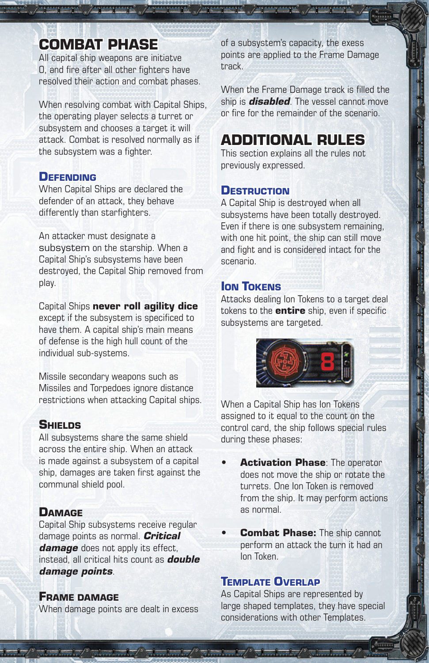### **COMBAT PHASE**

All capital ship weapons are initiatve 0, and fire after all other fighters have resolved their action and combat phases.

When resolving combat with Capital Ships, the operating player selects a turret or subsystem and chooses a target it will attack. Combat is resolved normally as if the subsystem was a fighter.

#### **DEFENDING**

When Capital Ships are declared the defender of an attack, they behave differently than starfighters.

An attacker must designate a subsystem on the starship. When a Capital Ship's subsystems have been destroyed, the Capital Ship removed from play.

Capital Ships **never roll agility dice** except if the subsystem is specificed to have them. A capital ship's main means of defense is the high hull count of the individual sub-systems.

Missile secondary weapons such as Missiles and Torpedoes ignore distance restrictions when attacking Capital ships.

#### **SHIELDS**

All subsystems share the same shield across the entire ship. When an attack is made against a subsystem of a capital ship, damages are taken first against the communal shield pool.

#### **DAMAGE**

Capital Ship subsystems receive regular damage points as normal. *Critical damage* does not apply its effect, instead, all critical hits count as *double damage points*.

#### **FRAME DAMAGE**

When damage points are dealt in excess

 $\frac{1}{2}$  ,  $\frac{1}{2}$  ,  $\frac{1}{2}$  ,  $\frac{1}{2}$  ,  $\frac{1}{2}$  ,  $\frac{1}{2}$  ,  $\frac{1}{2}$  ,  $\frac{1}{2}$  ,  $\frac{1}{2}$  ,  $\frac{1}{2}$  ,  $\frac{1}{2}$  ,  $\frac{1}{2}$  ,  $\frac{1}{2}$ 

of a subsystem's capacity, the exess points are applied to the Frame Damage track.

When the Frame Damage track is filled the ship is *disabled*. The vessel cannot move or fire for the remainder of the scenario.

### **ADDITIONAL RULES**

This section explains all the rules not previously expressed.

#### **DESTRUCTION**

A Capital Ship is destroyed when all subsystems have been totally destroyed. Even if there is one subsystem remaining, with one hit point, the ship can still move and fight and is considered intact for the scenario.

#### *<u>ION TOKENS</u>*

Attacks dealing Ion Tokens to a target deal tokens to the **entire** ship, even if specific subsystems are targeted.



When a Capital Ship has Ion Tokens assigned to it equal to the count on the control card, the ship follows special rules during these phases:

- **Activation Phase: The operator** does not move the ship or rotate the turrets. One Ion Token is removed from the ship. It may perform actions as normal.
- **Combat Phase:** The ship cannot perform an attack the turn it had an Ion Token.

#### **TEMPLATE OVERLAP**

As Capital Ships are represented by large shaped templates, they have special considerations with other Templates.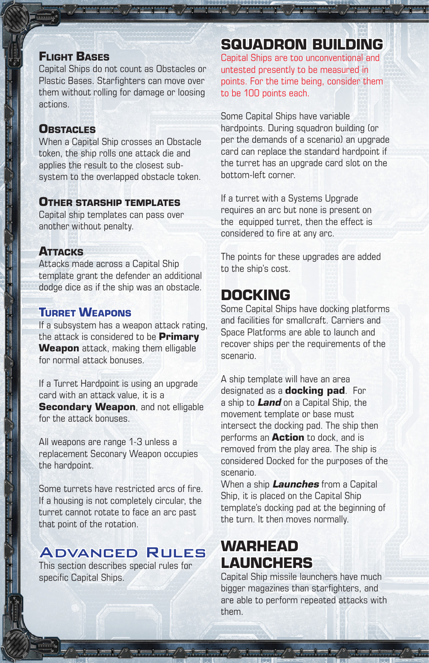#### **FLIGHT BASES**

Capital Ships do not count as Obstacles or Plastic Bases. Starfighters can move over them without rolling for damage or loosing actions.

#### **OBSTACLES**

When a Capital Ship crosses an Obstacle token, the ship rolls one attack die and applies the result to the closest subsystem to the overlapped obstacle token.

#### **OTHER STARSHIP TEMPLATES**

Capital ship templates can pass over another without penalty.

#### **ATTACKS**

Attacks made across a Capital Ship template grant the defender an additional dodge dice as if the ship was an obstacle.

#### **TURRET WEAPONS**

If a subsystem has a weapon attack rating, the attack is considered to be **Primary Weapon** attack, making them elligable for normal attack bonuses.

If a Turret Hardpoint is using an upgrade card with an attack value, it is a **Secondary Weapon, and not elligable** for the attack bonuses.

All weapons are range 1-3 unless a replacement Seconary Weapon occupies the hardpoint.

Some turrets have restricted arcs of fire. If a housing is not completely circular, the turret cannot rotate to face an arc past that point of the rotation.

### Advanced Rules

This section describes special rules for specific Capital Ships.

### **SQUADRON BUILDING**

Capital Ships are too unconventional and untested presently to be measured in points. For the time being, consider them to be 100 points each.

Some Capital Ships have variable hardpoints. During squadron building (or per the demands of a scenario) an upgrade card can replace the standard hardpoint if the turret has an upgrade card slot on the bottom-left corner.

If a turret with a Systems Upgrade requires an arc but none is present on the equipped turret, then the effect is considered to fire at any arc.

The points for these upgrades are added to the ship's cost.

### **DOCKING**

Some Capital Ships have docking platforms and facilities for smallcraft. Carriers and Space Platforms are able to launch and recover ships per the requirements of the scenario.

A ship template will have an area designated as a **docking pad**. For a ship to *Land* on a Capital Ship, the movement template or base must intersect the docking pad. The ship then performs an **Action** to dock, and is removed from the play area. The ship is considered Docked for the purposes of the scenario.

When a ship *Launches* from a Capital Ship, it is placed on the Capital Ship template's docking pad at the beginning of the turn. It then moves normally.

### **WARHEAD LAUNCHERS**

 $\frac{1}{2}$  ,  $\frac{1}{2}$  ,  $\frac{1}{2}$  ,  $\frac{1}{2}$  ,  $\frac{1}{2}$  ,  $\frac{1}{2}$  ,  $\frac{1}{2}$  ,  $\frac{1}{2}$  ,  $\frac{1}{2}$  ,  $\frac{1}{2}$  ,  $\frac{1}{2}$  ,  $\frac{1}{2}$  ,  $\frac{1}{2}$  ,  $\frac{1}{2}$  ,  $\frac{1}{2}$  ,  $\frac{1}{2}$  ,  $\frac{1}{2}$  ,  $\frac{1}{2}$  ,  $\frac{1$ 

Capital Ship missile launchers have much bigger magazines than starfighters, and are able to perform repeated attacks with them.